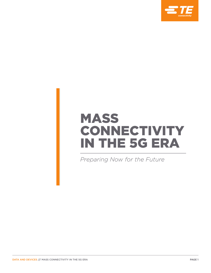

# MASS CONNECTIVITY IN THE 5G ERA

*Preparing Now for the Future*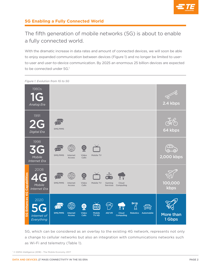

### The fifth generation of mobile networks (5G) is about to enable a fully connected world.

With the dramatic increase in data rates and amount of connected devices, we will soon be able to enjoy expanded communication between devices (Figure 1) and no longer be limited to userto-user and user-to-device communication. By 2025 an enormous 25 billion devices are expected to be connected under 5G.<sup>1</sup>

1980s 1G 2.4 kbps *Analog Era* 1991 2G SMS/MMS 64 kbps *Digital Era* 1998 3G  $\overline{O}$ SMS/MMS Internet Video Mobile TV 2,000 kbps *Mobile* **Access** Calls *Internet Era* 2008 4G **5G Enhances 4G Capabilities** SMS/MMS Mobile TV Cloud 100,000 Internet Video Gaming *Mobile* .<br>Calls **Services** Computing Access kbps *Internet Era* 2020 5G  $\mathbf{O}$ HD ŵ SMS/MMS AR/VR Cloud Robotics Automobile ပ္တ Internet Video Calls Mobile TV HD More than Computing *Internet of*  Access *Everything* 1 Gbps

*Figure 1. Evolution from 1G to 5G*

5G, which can be considered as an overlay to the existing 4G network, represents not only a change to cellular networks but also an integration with communications networks such as Wi-Fi and telemetry (Table 1).

<sup>1</sup> © GSMA Intelligence (2018) - The Mobile Economy 2017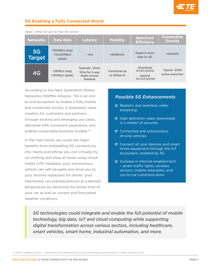

| <b>Networks</b>     | <b>Data Rate</b>                          | <b>Latency</b>                                                      | <b>Mobility</b>                    | <b>Spectrum</b><br><b>Efficiency</b>                           | <b>Connection</b><br><b>Density</b>           |
|---------------------|-------------------------------------------|---------------------------------------------------------------------|------------------------------------|----------------------------------------------------------------|-----------------------------------------------|
| 5G<br><b>Target</b> | $>100Mb/s$ (avg)<br>>10.000Mb/s<br>(peak) | $~\sim$ 1ms                                                         | $>500$ km/h                        | Target is more<br>than 2x 4G                                   | >100,000                                      |
| 4G                  | $>25Mb/s$ (avg)<br>$>150Mb/s$ (peak)      | Typically ~50ms<br>10ms for 2-way<br>Radio Access<br><b>Network</b> | <b>Functional up</b><br>to 350km/h | Download:<br>0.1-6.1 $b/s/Hz$<br>Upload:<br>$0.1 - 4.3 b/s/Hz$ | Typical ~2000<br>active users/km <sup>2</sup> |

*Table 1. What 5G can do that 4G cannot*

According to the Next Generation Mobile Networks (NGMN) Alliance, "5G is an end to end ecosystem to enable a fully mobile and connected society. It empowers value creation for customers and partners, through existing and emerging use cases, delivered with consistent experience, and enables sustainable business models."2

In the near future, we could see major benefits from embedding 5G connectivity into nearly everything: you can virtually try on clothing and shop at home using virtual reality (VR) headsets; your autonomous vehicle can self-navigate and drive you to your favorite restaurant for dinner; your thermostat can preheat/precool at a desired temperature by retrieving the arrival time of your car as well as current and forecasted weather conditions.

### *Possible 5G Enhancements*

- $\boxtimes$  Realistic and seamless video streaming
- $\boxtimes$  High definition video downloads in a matter of seconds
- Connected and autonomous driving vehicles
- **EX** Connect all your devices and smart home equipment through the IoT ecosystem, enabled by 5G
- Increase in internet-enabled tech – smart traffic lights, wireless sensors, mobile wearables, and car-to-car communication

*5G technologies could integrate and enable the full potential of mobile technology, big data, IoT and cloud computing while supporting digital transformation across various sectors, including healthcare, smart vehicles, smart home, industrial automation, and more.*

<sup>2</sup> © GSMA Intelligence (2014) - Understanding 5G: Perspectives on future technological advancements in mobile, December 2014.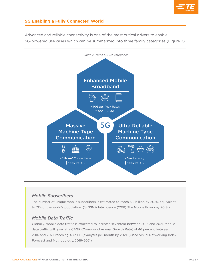

5G-powered use cases which can be summarized into three family categories (Figure 2). *Figure 2. Three 5G use categories*

Advanced and reliable connectivity is one of the most critical drivers to enable



### *Mobile Subscribers*

The number of unique mobile subscribers is estimated to reach 5.9 billion by 2025, equivalent to 71% of the world's population. (© GSMA Intelligence (2018) The Mobile Economy 2018 )

### *Mobile Data Traffic*

Globally, mobile data traffic is expected to increase sevenfold between 2016 and 2021. Mobile data traffic will grow at a CAGR (Compound Annual Growth Rate) of 46 percent between 2016 and 2021, reaching 48.3 EB (exabyte) per month by 2021. (Cisco Visual Networking Index: Forecast and Methodology, 2016–2021)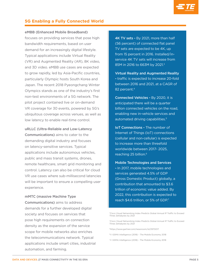

#### eMBB (Enhanced Mobile Broadband)

focuses on providing services that pose high bandwidth requirements, based on user demand for an increasingly digital lifestyle. Typical applications include Virtual Reality (VR) and Augmented Reality (AR), 8K video, and 3D video. eMBB use cases are expected to grow rapidly, led by Asia-Pacific countries, particularly Olympic hosts South Korea and Japan. The recent 2018 Pyeongchang Winter Olympics stands as one of the industry's first non-test environments of a 5G network. The pilot project contained live or on-demand VR coverage for 30 events, powered by 5G's ubiquitous coverage across venues, as well as low latency to enable real-time control.

uRLLC (Ultra-Reliable and Low-Latency Communications) aims to cater to the demanding digital industry and focuses on latency-sensitive services. Typical applications include autonomous vehicles, public and mass transit systems, drones, remote healthcare, smart grid monitoring and control. Latency can also be critical for cloud VR use cases where sub-millisecond latencies will be important to ensure a compelling user experience.

#### mMTC (massive Machine Type

Communications) aims to address demands for a further developed digital society and focuses on services that pose high requirements on connection density as the expansion of the service scope for mobile networks also enriches the telecommunications network. Typical applications include smart cities, industrial automation, and farming.

4K TV sets - By 2021, more than half (56 percent) of connected flat panel TV sets are expected to be 4K, up from 15 percent in 2016. Installed/inservice 4K TV sets will increase from 85M in 2016 to 663M by 2021.<sup>3</sup>

Virtual Reality and Augmented Reality - traffic is expected to increase 20-fold between 2016 and 2021, at a CAGR of 82 percent.<sup>4</sup>

Connected Vehicles - By 2020, it is anticipated there will be a quarter billion connected vehicles on the road, enabling new in-vehicle services and automated driving capabilities.<sup>5</sup>

IoT Connections - The number of Internet of Things (IoT) connections (cellular and non-cellular) is expected to increase more than threefold worldwide between 2017- 2025, reaching 25 billion.<sup>6</sup>

Mobile Technologies and Services - In 2017, mobile technologies and services generated 4.5% of GDP (Gross Domestic Product) globally, a contribution that amounted to \$3.6 trillion of economic value added. By 2022, this contribution is expected to reach \$4.6 trillion, or 5% of GDP.7

5https://www.gartner.com/newsroom/id/2970017

- 6© GSMA Intelligence (2018) The Mobile Economy 2018
- 7© GSMA Intelligence (2018) The Mobile Economy 2018

<sup>3</sup>Cisco Visual Networking Index Predicts Global Annual IP Traffic to Exceed Three Zettabytes by 2021

<sup>4</sup>Cisco Visual Networking Index Predicts Global Annual IP Traffic to Exceed Three Zettabytes by 2021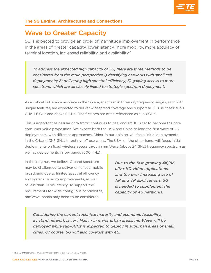

### Wave to Greater Capacity

5G is expected to provide an order of magnitude improvement in performance in the areas of greater capacity, lower latency, more mobility, more accuracy of terminal location, increased reliability, and availability.8

*To address the expected high capacity of 5G, there are three methods to be considered from the radio perspective 1) densifying networks with small cell deployments; 2) delivering high spectral efficiency; 3) gaining access to more spectrum, which are all closely linked to strategic spectrum deployment.*

As a critical but scarce resource in the 5G era, spectrum in three key frequency ranges, each with unique features, are expected to deliver widespread coverage and support all 5G use cases: sub-1 GHz, 1-6 GHz and above 6 GHz. The first two are often referenced as sub-6GHz.

This is important as cellular data traffic continues to rise, and eMBB is set to become the core consumer value proposition. We expect both the USA and China to lead the first wave of 5G deployments, with different approaches. China, in our opinion, will focus initial deployments in the C-band (3-5 GHz) targeting IoT use cases. The USA, on the other hand, will focus initial deployments on fixed wireless access through mmWave (above 24 GHz) frequency spectrum as well as deployments in low bands (600 MHz).

In the long run, we believe C-band spectrum may be challenged to deliver enhanced mobile broadband due to limited spectral efficiency and system capacity improvements, as well as less than 10 ms latency. To support the requirements for wide contiguous bandwidths, mmWave bands may need to be considered.

*Due to the fast-growing 4K/8K ultra-HD video applications and the ever increasing use of AR and VR applications, 5G is needed to supplement the capacity of 4G networks.*

*Considering the current technical maturity and economic feasibility, a hybrid network is very likely - in major urban areas, mmWave will be deployed while sub-6GHz is expected to deploy in suburban areas or small cities. Of course, 5G will also co-exist with 4G.* 

<sup>8</sup> The 5G Infrastructure Public Private Partnership (5G PPP): 5G Vision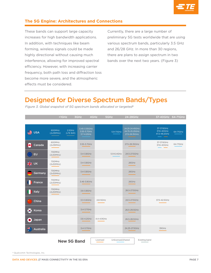

These bands can support large capacity increases for high bandwidth applications. In addition, with techniques like beam forming, wireless signals could be made highly directional without causing much interference, allowing for improved spectral efficiency. However, with increasing carrier frequency, both path loss and diffraction loss become more severe, and the atmospheric effects must be considered.

Currently, there are a large number of preliminary 5G tests worldwide that are using various spectrum bands, particularly 3.5 GHz and 26/28 GHz. In more than 30 regions, there are plans to assign spectrum in two bands over the next two years. (Figure 3)

### Designed for Diverse Spectrum Bands/Types

|                    | $1GHz$                                     | 3GHz<br>4GHz                              | 5GHz                          | 24-28GHz                                          | 37-40GHz 64-71GHz                               |             |
|--------------------|--------------------------------------------|-------------------------------------------|-------------------------------|---------------------------------------------------|-------------------------------------------------|-------------|
|                    |                                            |                                           |                               |                                                   |                                                 |             |
| ≝<br><b>USA</b>    | 600MHz<br>2.5GHz<br>(2x35MHz)<br>(LTE B41) | 3.45-3.55GHz<br>3.55-3.7GHz<br>3.7-4.2GHz | 5.9-7.1GHz                    | 24.25-24.45GHz<br>24.75-25.25GHz<br>27.5-28.35GHz | 37-37.6GHz<br>37.6-40GHz<br>47.2-48.2GHz<br>___ | $64-71$ GHz |
| Ø<br>Canada        | 600MHz<br>(2x35MHz)                        | 3.55-3.7GHz                               |                               | 27.5-28.35GHz                                     | 37-37.6GHz<br>37.6-40GHz                        | 64-71GHz    |
| EU                 | 700MHz<br>(2x30MHz)                        | 3.4-3.8GHz                                | 5.9-6.4GHz                    | 24.5-27.5GHz                                      |                                                 |             |
| 带<br><b>UK</b>     | 700MHz<br>(2x30MHz)                        | 3.4-3.8GHz                                |                               | 26GHz                                             |                                                 |             |
| Germany            | 700MHz<br>(2x30MHz)                        | 3.4-3.8GHz                                |                               | 26GHz                                             |                                                 |             |
| France             | 700MHz<br>(2x30MHz)                        | 3.46-3.8GHz                               |                               | 26GHz                                             |                                                 |             |
| <b>Italy</b>       | 700MHz<br>(2x30MHz)                        | 3.6-3.8GHz                                |                               | 26.5-27.5GHz                                      |                                                 |             |
| China              |                                            | 3.3-3.6GHz                                | 4.8-5GHz                      | 24.5-27.5GHz                                      | 37.5-42.5GHz                                    |             |
| $\bullet$<br>Korea |                                            | 3.4-3.7GHz                                |                               | 26.5-29.5GHz                                      |                                                 |             |
| Japan              |                                            | 3.6-4.2GHz                                | 4.4-4.9GHz                    | 26.5-28.5GHz                                      |                                                 |             |
| 標<br>Australia     |                                            | 3.4-3.7GHz                                |                               | 24.25-27.5GHz                                     | 39GHz                                           |             |
|                    | <b>New 5G Band</b>                         |                                           | Unlicensed/shared<br>Licensed |                                                   | Existing band                                   |             |

*Figure 3. Global snapshot of 5G spectrum bands allocated or targeted9*

<sup>9</sup> Qualcomm Technologies, Inc.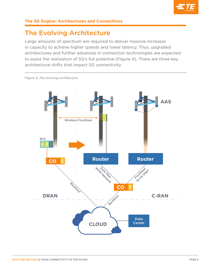

### The Evolving Architecture

Large amounts of spectrum are required to deliver massive increases in capacity to achieve higher speeds and lower latency. Thus, upgraded architectures and further advances in connection technologies are expected to assist the realization of 5G's full potential (Figure 4). There are three key architectural shifts that impact 5G connectivity.

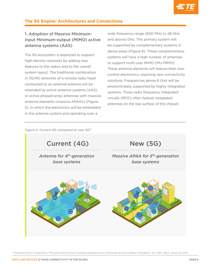

### 1. Adoption of Massive Minimuminput Minimum-output (MIMO) active antenna systems (AAS)

The 5G ecosystem is expected to support high-density networks by adding new features to the radios and to the overall system layout. The traditional combination in 3G/4G networks of a remote radio head connected to an external antenna will be extended by active antenna systems (AAS) or active phased-array antennas with massive antenna elements (massive APAA's) (Figure 5), in which the electronics will be embedded in the antenna system and operating over a

wide frequency range (600 MHz to 28 GHz and above) GHz. This primary system will be supported by complementary systems in dense areas (Figure 6). These complementary systems will have a high number of antennas to support multi-user MIMO (MU-MIMO). These antenna elements will feature their own control electronics, requiring new connectivity solutions. Frequencies above 6 GHz will be predominately supported by highly integrated systems. These radio frequency integrated circuits (RFIC) often feature integrated antennas on the top surface of the chipset.

*Figure 5. Current 4G compared to new 5G10*



<sup>10</sup> Mitsubishi Electric Corporation, "Mitsubishi Electric's New Multibeam Multiplexing 5G Technology Achieves 20Gbps Throughput", No. 2984, Tokyo, January 21, 2016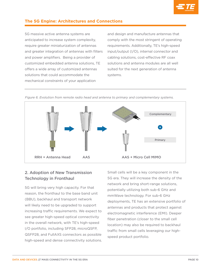

5G massive active antenna systems are anticipated to increase system complexity, require greater miniaturization of antennas and greater integration of antennas with filters and power amplifiers. Being a provider of customized embedded antenna solutions, TE offers a wide array of customized antennas solutions that could accommodate the mechanical constraints of your application

and design and manufacture antennas that comply with the most stringent of operating requirements. Additionally, TE's high-speed input/output (I/O), internal connector and cabling solutions, cost-effective RF coax solutions and antenna modules are all well suited for the next generation of antenna systems.



*Figure 6. Evolution from remote radio head and antenna to primary and complementary systems.*

### 2. Adoption of New Transmission Technology in Fronthaul

5G will bring very high capacity. For that reason, the fronthaul to the base band unit (BBU), backhaul and transport network will likely need to be upgraded to support increasing traffic requirements. We expect to see greater high-speed optical connectivity in the overall network, with TE's high-speed I/O portfolio, including SFP28, microQSFP, QSFP28, and FullAXS connectors as possible high-speed and dense connectivity solutions.

Small cells will be a key component in the 5G era. They will increase the density of the network and bring short-range solutions, potentially utilizing both sub-6 GHz and mmWave technology. For sub-6 GHz deployments, TE has an extensive portfolio of antennas and products that protect against electromagnetic interference (EMI). Deeper fiber penetration (closer to the small cell location) may also be required to backhaul traffic from small cells leveraging our highspeed product portfolio.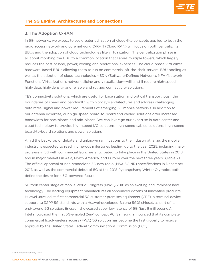

#### 3. The Adoption C-RAN

In 5G networks, we expect to see greater utilization of cloud-like concepts applied to both the radio access network and core network. C-RAN (Cloud RAN) will focus on both centralizing BBUs and the adoption of cloud technologies like virtualization. The centralization phase is all about mobbing the BBU to a common location that serves multiple towers, which largely reduces the cost of land, power, cooling and operational expenses. The cloud phase virtualizes hardware-based BBUs allowing them to run on commercial off-the-shelf servers. BBU pooling as well as the adoption of cloud technologies – SDN (Software-Defined Network), NFV (Network Functions Virtualization), network slicing and virtualization—will all still require high-speed, high-data, high-density, and reliable and rugged connectivity solutions.

TE's connectivity solutions, which are useful for base station and optical transport, push the boundaries of speed and bandwidth within today's architectures and address challenging data rates, signal and power requirements of emerging 5G mobile networks. In addition to our antenna expertise, our high-speed board-to-board and cabled solutions offer increased bandwidth for backplanes and mid-planes. We can leverage our expertise in data center and cloud technology to provide high-speed I/O solutions, high-speed cabled solutions, high-speed board-to-board solutions and power solutions.

Amid the backdrop of debate and unknown ramifications to the industry at large, the mobile industry is expected to reach numerous milestones leading up to the year 2025, including major progress in 5G with commercial launches anticipated to take place in the United States in 2018 and in major markets in Asia, North America, and Europe over the next three years<sup>11</sup> (Table 2). The official approval of non-standalone 5G new radio (NSA 5G NR) specifications in December 2017, as well as the commercial debut of 5G at the 2018 Pyeongchang Winter Olympics both define the desire for a 5G-powered future.

5G took center stage at Mobile World Congress (MWC) 2018 as an exciting and imminent new technology. The leading equipment manufactures all announced dozens of innovative products: Huawei unveiled its first commercial 5G customer premises equipment (CPE), a terminal device supporting 3GPP 5G standards with a Huawei-developed Balong 5G01 chipset, as part of its end-to-end 5G solution; Ericsson showcased super low latency of 5G (just 6 milliseconds); Intel showcased the first 5G-enabled 2-in-1 concept PC; Samsung announced that its complete commercial fixed-wireless access (FWA) 5G solution has become the first globally to receive approval by the United States Federal Communications Commission (FCC).

<sup>11</sup> The Mobile Economy 2018